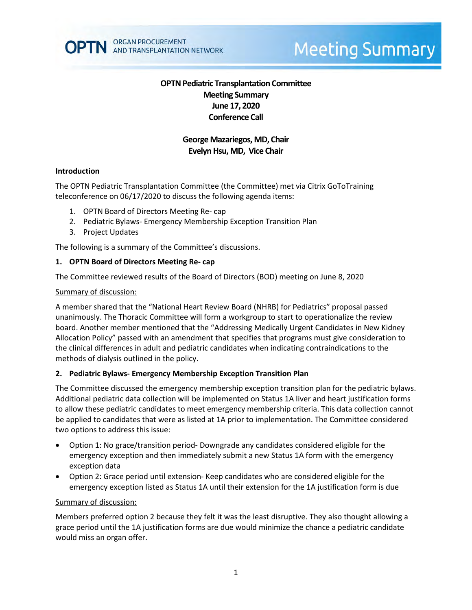

# **Meeting Summary**

# **OPTN Pediatric Transplantation Committee Meeting Summary June 17, 2020 Conference Call**

# **George Mazariegos, MD, Chair Evelyn Hsu, MD, Vice Chair**

#### **Introduction**

The OPTN Pediatric Transplantation Committee (the Committee) met via Citrix GoToTraining teleconference on 06/17/2020 to discuss the following agenda items:

- 1. OPTN Board of Directors Meeting Re- cap
- 2. Pediatric Bylaws- Emergency Membership Exception Transition Plan
- 3. Project Updates

The following is a summary of the Committee's discussions.

#### **1. OPTN Board of Directors Meeting Re- cap**

The Committee reviewed results of the Board of Directors (BOD) meeting on June 8, 2020

#### Summary of discussion:

A member shared that the "National Heart Review Board (NHRB) for Pediatrics" proposal passed unanimously. The Thoracic Committee will form a workgroup to start to operationalize the review board. Another member mentioned that the "Addressing Medically Urgent Candidates in New Kidney Allocation Policy" passed with an amendment that specifies that programs must give consideration to the clinical differences in adult and pediatric candidates when indicating contraindications to the methods of dialysis outlined in the policy.

### **2. Pediatric Bylaws- Emergency Membership Exception Transition Plan**

The Committee discussed the emergency membership exception transition plan for the pediatric bylaws. Additional pediatric data collection will be implemented on Status 1A liver and heart justification forms to allow these pediatric candidates to meet emergency membership criteria. This data collection cannot be applied to candidates that were as listed at 1A prior to implementation. The Committee considered two options to address this issue:

- Option 1: No grace/transition period- Downgrade any candidates considered eligible for the emergency exception and then immediately submit a new Status 1A form with the emergency exception data
- Option 2: Grace period until extension- Keep candidates who are considered eligible for the emergency exception listed as Status 1A until their extension for the 1A justification form is due

#### Summary of discussion:

Members preferred option 2 because they felt it was the least disruptive. They also thought allowing a grace period until the 1A justification forms are due would minimize the chance a pediatric candidate would miss an organ offer.